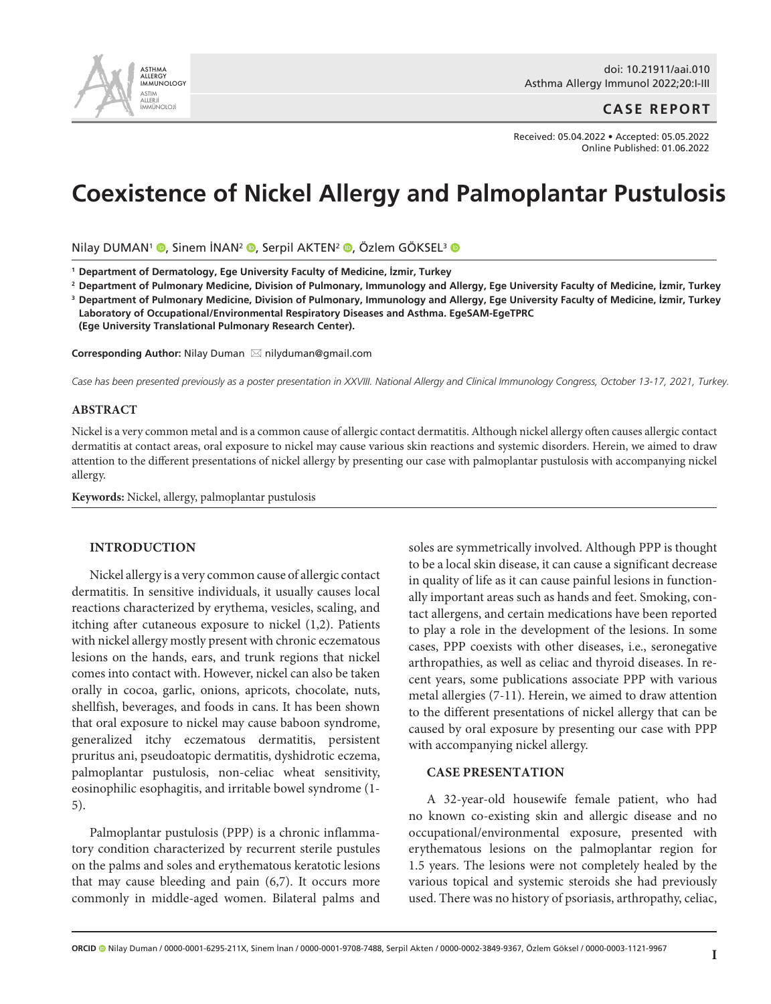

## **CASE REPORT**

Received: 05.04.2022 • Accepted: 05.05.2022 Online Published: 01.06.2022

# **Coexistence of Nickel Allergy and Palmoplantar Pustulosis**

Nilay DUMAN<sup>1</sup> <sup>(0</sup>[,](http://orcid.org/0000-0002-3849-9367) Sinem İNAN<sup>2</sup> (0, Serpil AKTEN<sup>2</sup> (0, Özlem GÖKSEL<sup>3</sup> (0

**1 Department of Dermatology, Ege University Faculty of Medicine, İzmir, Turkey**

<sup>2</sup> Department of Pulmonary Medicine, Division of Pulmonary, Immunology and Allergy, Ege University Faculty of Medicine, İzmir, Turkey

 $^{\rm 3}$  Department of Pulmonary Medicine, Division of Pulmonary, Immunology and Allergy, Ege University Faculty of Medicine, İzmir, Turkey  **Laboratory of Occupational/Environmental Respiratory Diseases and Asthma. EgeSAM-EgeTPRC (Ege University Translational Pulmonary Research Center).**

**Corresponding Author: Nilay Duman ⊠ nilyduman@gmail.com** 

*Case has been presented previously as a poster presentation in XXVIII. National Allergy and Clinical Immunology Congress, October 13-17, 2021, Turkey.*

#### **ABSTRACT**

Nickel is a very common metal and is a common cause of allergic contact dermatitis. Although nickel allergy often causes allergic contact dermatitis at contact areas, oral exposure to nickel may cause various skin reactions and systemic disorders. Herein, we aimed to draw attention to the different presentations of nickel allergy by presenting our case with palmoplantar pustulosis with accompanying nickel allergy.

**Keywords:** Nickel, allergy, palmoplantar pustulosis

#### **INTRODUCTION**

Nickel allergy is a very common cause of allergic contact dermatitis. In sensitive individuals, it usually causes local reactions characterized by erythema, vesicles, scaling, and itching after cutaneous exposure to nickel (1,2). Patients with nickel allergy mostly present with chronic eczematous lesions on the hands, ears, and trunk regions that nickel comes into contact with. However, nickel can also be taken orally in cocoa, garlic, onions, apricots, chocolate, nuts, shellfish, beverages, and foods in cans. It has been shown that oral exposure to nickel may cause baboon syndrome, generalized itchy eczematous dermatitis, persistent pruritus ani, pseudoatopic dermatitis, dyshidrotic eczema, palmoplantar pustulosis, non-celiac wheat sensitivity, eosinophilic esophagitis, and irritable bowel syndrome (1- 5).

Palmoplantar pustulosis (PPP) is a chronic inflammatory condition characterized by recurrent sterile pustules on the palms and soles and erythematous keratotic lesions that may cause bleeding and pain (6,7). It occurs more commonly in middle-aged women. Bilateral palms and soles are symmetrically involved. Although PPP is thought to be a local skin disease, it can cause a significant decrease in quality of life as it can cause painful lesions in functionally important areas such as hands and feet. Smoking, contact allergens, and certain medications have been reported to play a role in the development of the lesions. In some cases, PPP coexists with other diseases, i.e., seronegative arthropathies, as well as celiac and thyroid diseases. In recent years, some publications associate PPP with various metal allergies (7-11). Herein, we aimed to draw attention to the different presentations of nickel allergy that can be caused by oral exposure by presenting our case with PPP with accompanying nickel allergy.

#### **CASE PRESENTATION**

A 32-year-old housewife female patient, who had no known co-existing skin and allergic disease and no occupational/environmental exposure, presented with erythematous lesions on the palmoplantar region for 1.5 years. The lesions were not completely healed by the various topical and systemic steroids she had previously used. There was no history of psoriasis, arthropathy, celiac,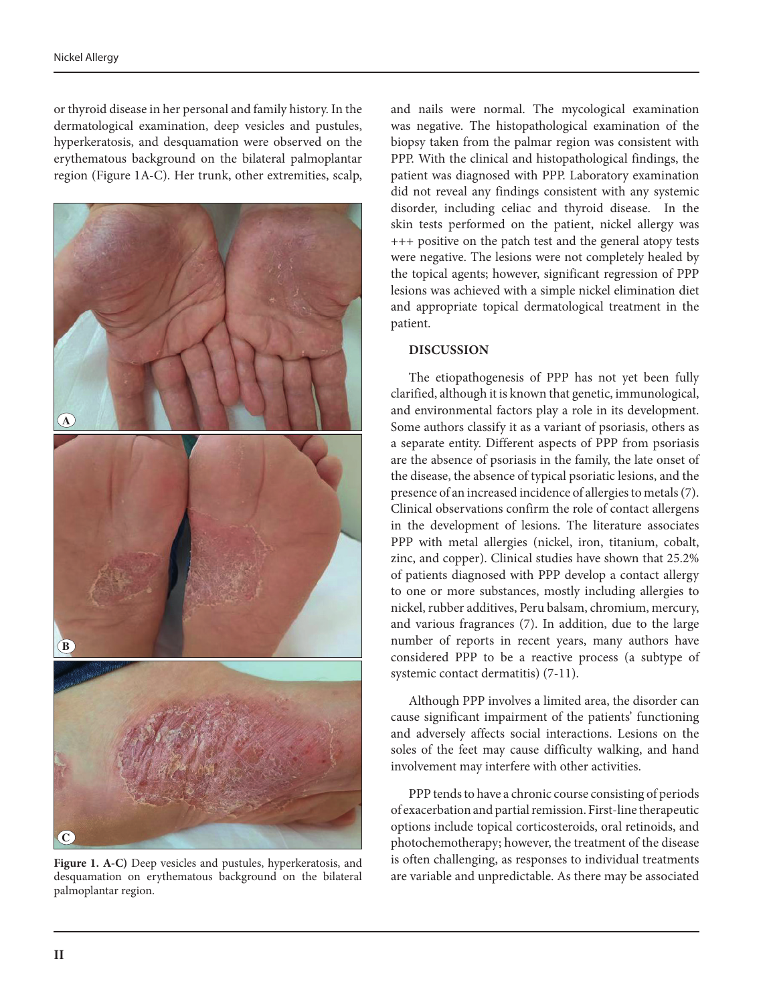or thyroid disease in her personal and family history. In the dermatological examination, deep vesicles and pustules, hyperkeratosis, and desquamation were observed on the erythematous background on the bilateral palmoplantar region (Figure 1A-C). Her trunk, other extremities, scalp,



**Figure 1. A-C)** Deep vesicles and pustules, hyperkeratosis, and desquamation on erythematous background on the bilateral palmoplantar region.

and nails were normal. The mycological examination was negative. The histopathological examination of the biopsy taken from the palmar region was consistent with PPP. With the clinical and histopathological findings, the patient was diagnosed with PPP. Laboratory examination did not reveal any findings consistent with any systemic disorder, including celiac and thyroid disease. In the skin tests performed on the patient, nickel allergy was +++ positive on the patch test and the general atopy tests were negative. The lesions were not completely healed by the topical agents; however, significant regression of PPP lesions was achieved with a simple nickel elimination diet and appropriate topical dermatological treatment in the patient.

### **DISCUSSION**

The etiopathogenesis of PPP has not yet been fully clarified, although it is known that genetic, immunological, and environmental factors play a role in its development. Some authors classify it as a variant of psoriasis, others as a separate entity. Different aspects of PPP from psoriasis are the absence of psoriasis in the family, the late onset of the disease, the absence of typical psoriatic lesions, and the presence of an increased incidence of allergies to metals (7). Clinical observations confirm the role of contact allergens in the development of lesions. The literature associates PPP with metal allergies (nickel, iron, titanium, cobalt, zinc, and copper). Clinical studies have shown that 25.2% of patients diagnosed with PPP develop a contact allergy to one or more substances, mostly including allergies to nickel, rubber additives, Peru balsam, chromium, mercury, and various fragrances (7). In addition, due to the large number of reports in recent years, many authors have considered PPP to be a reactive process (a subtype of systemic contact dermatitis) (7-11).

Although PPP involves a limited area, the disorder can cause significant impairment of the patients' functioning and adversely affects social interactions. Lesions on the soles of the feet may cause difficulty walking, and hand involvement may interfere with other activities.

PPP tends to have a chronic course consisting of periods of exacerbation and partial remission. First-line therapeutic options include topical corticosteroids, oral retinoids, and photochemotherapy; however, the treatment of the disease is often challenging, as responses to individual treatments are variable and unpredictable. As there may be associated